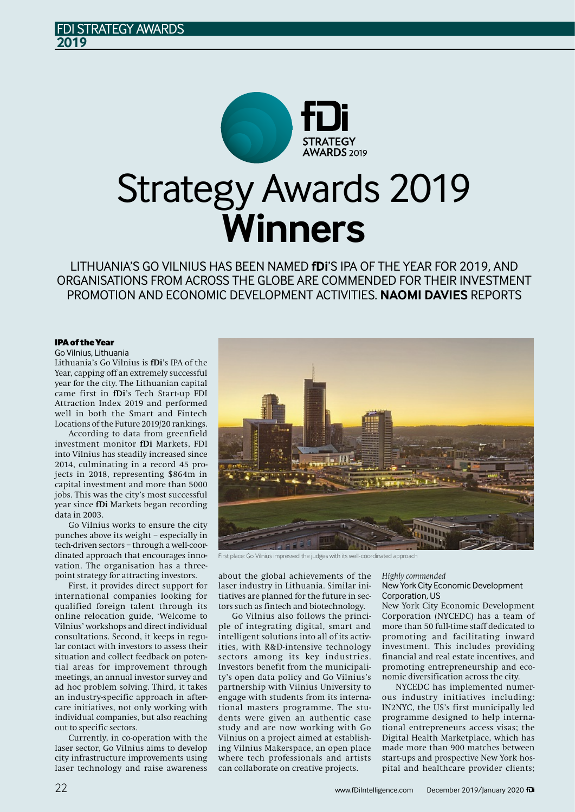

LITHUANIA'S GO VILNIUS HAS BEEN NAMED **fDi**'S IPA OF THE YEAR FOR 2019, AND ORGANISATIONS FROM ACROSS THE GLOBE ARE COMMENDED FOR THEIR INVESTMENT PROMOTION AND ECONOMIC DEVELOPMENT ACTIVITIES. **NAOMI DAVIES** REPORTS

# IPAof theYear

Go Vilnius, Lithuania

Lithuania's Go Vilnius is **fDi**'s IPA of the Year, capping off an extremely successful year for the city. The Lithuanian capital came first in **fDi**'s Tech Start-up FDI Attraction Index 2019 and performed well in both the Smart and Fintech Locations of the Future 2019/20 rankings.

**DI STRATEGY AWARDS** 

**2019**

According to data from greenfield investment monitor **fDi** Markets, FDI into Vilnius has steadily increased since 2014, culminating in a record 45 projects in 2018, representing \$864m in capital investment and more than 5000 jobs. This was the city's most successful year since **fDi** Markets began recording data in 2003.

Go Vilnius works to ensure the city punches above its weight – especially in tech-driven sectors – through a well-coordinated approach that encourages innovation. The organisation has a threepoint strategy for attracting investors.

First, it provides direct support for international companies looking for qualified foreign talent through its online relocation guide, 'Welcome to Vilnius' workshops and direct individual consultations. Second, it keeps in regular contact with investors to assess their situation and collect feedback on potential areas for improvement through meetings, an annual investor survey and ad hoc problem solving. Third, it takes an industry-specific approach in aftercare initiatives, not only working with individual companies, but also reaching out to specific sectors.

Currently, in co-operation with the laser sector, Go Vilnius aims to develop city infrastructure improvements using laser technology and raise awareness



First place: Go Vilnius impressed the judges with its well-coordinated approach

about the global achievements of the laser industry in Lithuania. Similar initiatives are planned for the future in sectors such as fintech and biotechnology.

Go Vilnius also follows the principle of integrating digital, smart and intelligent solutions into all of its activities, with R&D-intensive technology sectors among its key industries. Investors benefit from the municipality's open data policy and Go Vilnius's partnership with Vilnius University to engage with students from its international masters programme. The students were given an authentic case study and are now working with Go Vilnius on a project aimed at establishing Vilnius Makerspace, an open place where tech professionals and artists can collaborate on creative projects.

*Highly commended* NewYork City Economic Development Corporation, US

New York City Economic Development Corporation (NYCEDC) has a team of more than 50 full-time staff dedicated to promoting and facilitating inward investment. This includes providing financial and real estate incentives, and promoting entrepreneurship and economic diversification across the city.

NYCEDC has implemented numerous industry initiatives including: IN2NYC, the US's first municipally led programme designed to help international entrepreneurs access visas; the Digital Health Marketplace, which has made more than 900 matches between start-ups and prospective New York hospital and healthcare provider clients;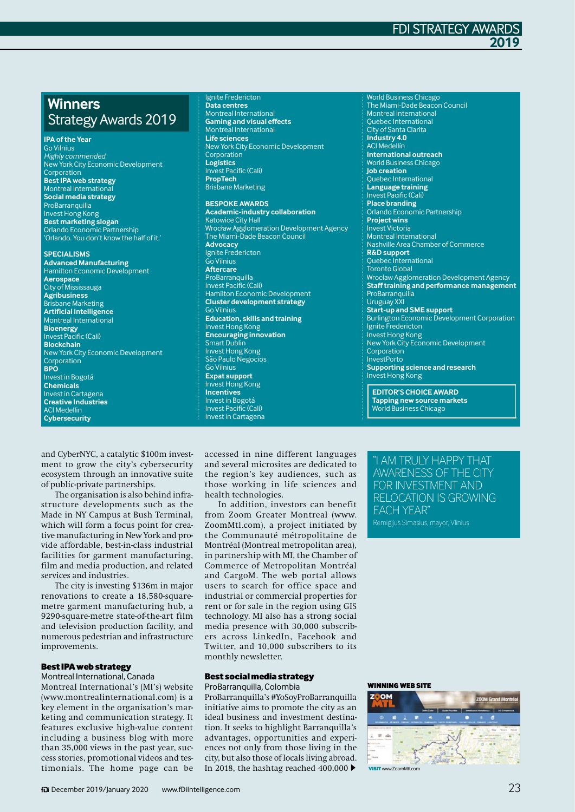# **Winners** StrategyAwards 2019

#### **IPAofthe Year**

Go Vilnius Highly commended NewYork City Economic Development Corporation

**BestIPA web strategy Montreal Internation Social media strategy** ProBarranquilla Invest Hong Kong **Best marketing slogan** Orlando Economic Partnership 'Orlando. You don't knowthe half of it.'

**SPECIALISMS**

**Advanced Manufacturing** Hamilton Economic Development **Aerospace** City of Mississauga **Agribusiness** Brisbane Marketing **Artificial intelligence** Montreal International **Bioenergy** Invest Pacific (Cali) **Blockchain** NewYork City Economic Development Corporation **BPO** Investin Bogotá **Chemicals** Investin Cartagena **Creative Industries** ACI Medellin **Cybersecurity**

#### Ignite Fredericton **Data centres** Montreal International **Gaming and visual effects** Montreal International **Life sciences** NewYork City Economic Development Corporation **Logistics** Invest Pacific (Cali) **PropTech** Brisbane Marketing

#### **BESPOKEAWARDS**

**Academic-industry collaboration Katowice City Hall** WrocławAgglomeration Development Agency The Miami-Dade Beacon Council **Advocacy** Ignite Fredericton Go Vilnius **Aftercare** ProBarranquilla Invest Pacific (Cali) Hamilton Economic Development **Cluster development strategy** Go Vilnius **Education, skills and training** Invest Hong Kong **Encouraging innovation** Smart Dublin Invest Hong Kong São Paulo Negocios Go Vilnius **Expat support** Invest Hong Kong **Incentives** Investin Bogotá Invest Pacific (Cali) Investin Cartagena

World Business Chicago The Miami-Dade Beacon Council Montreal International Quebec International City of Santa Clarita **Industry 4.0** ACI Medellín **International outreach** World Business Chicago **Job creation** Quebec International **Language training** Invest Pacific (Cali) **Place branding** Orlando Economic Partnership **Project wins** Invest Victoria Montreal International Nashville Area Chamber of Commerce **R&Dsupport** Quebec International Toronto Global Wrocław Agglomeration Development Agency **Stafftraining and performance management ProBarranquilla** Uruguay XXI **Start-up and SME support** Burlington Economic Development Corporation Ignite Fredericton Invest Hong Kong NewYork City Economic Development Corporation InvestPorto **Supporting science and research** Invest Hong Kong

**FDI STRATEGY AWA** 

**2019**

**EDITOR'S CHOICEAWARD Tapping new source markets** World Business Chicago

and CyberNYC, a catalytic \$100m investment to grow the city's cybersecurity ecosystem through an innovative suite of public-private partnerships.

The organisation is also behind infrastructure developments such as the Made in NY Campus at Bush Terminal, which will form a focus point for creative manufacturing in New York and provide affordable, best-in-class industrial facilities for garment manufacturing, film and media production, and related services and industries.

The city is investing \$136m in major renovations to create a 18,580-squaremetre garment manufacturing hub, a 9290-square-metre state-of-the-art film and television production facility, and numerous pedestrian and infrastructure improvements.

# **Best IPA web strategy**

Montreal International, Canada Montreal International's (MI's) website (www.montrealinternational.com) is a key element in the organisation's marketing and communication strategy. It features exclusive high-value content including a business blog with more than 35,000 views in the past year, successstories, promotional videos and testimonials. The home page can be

accessed in nine different languages and several microsites are dedicated to the region's key audiences, such as those working in life sciences and health technologies.

In addition, investors can benefit from Zoom Greater Montreal (www. ZoomMtl.com), a project initiated by the Communauté métropolitaine de Montréal (Montreal metropolitan area), in partnership with MI, the Chamber of Commerce of Metropolitan Montréal and CargoM. The web portal allows users to search for office space and industrial or commercial properties for rent or for sale in the region using GIS technology. MI also has a strong social media presence with 30,000 subscribers across LinkedIn, Facebook and Twitter, and 10,000 subscribers to its monthly newsletter.

# **Best social media strategy**

ProBarranquilla, Colombia ProBarranquilla's #YoSoyProBarranquilla initiative aims to promote the city as an ideal business and investment destination. It seeks to highlight Barranquilla's advantages, opportunities and experiences not only from those living in the city, but also those of locals living abroad. In 2018, the hashtag reached 400,000  $\blacktriangleright$ 

"I AM TRULY HAPPY THAT AWARENESS OF THE CITY FOR INVESTMENT AND RELOCATION IS GROWING EACH YEAR" Remigijus Simasius, mayor, Vlinius

### WINNING WEB SITE

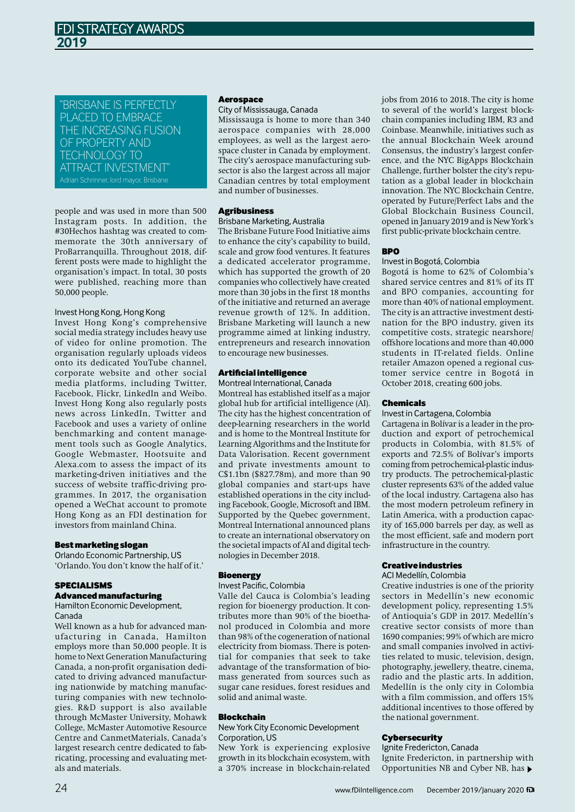"BRISBANE IS PERFECTLY PLACED TO EMBRACE THE INCREASING FUSION OF PROPERTY AND TECHNOLOGY TO ATTRACT INVESTMENT"

people and was used in more than 500 Instagram posts. In addition, the #30Hechos hashtag was created to commemorate the 30th anniversary of ProBarranquilla. Throughout 2018, different posts were made to highlight the organisation's impact. In total, 30 posts were published, reaching more than 50,000 people.

### Invest Hong Kong, Hong Kong

Invest Hong Kong's comprehensive social media strategy includes heavy use of video for online promotion. The organisation regularly uploads videos onto its dedicated YouTube channel, corporate website and other social media platforms, including Twitter, Facebook, Flickr, LinkedIn and Weibo. Invest Hong Kong also regularly posts news across LinkedIn, Twitter and Facebook and uses a variety of online benchmarking and content management tools such as Google Analytics, Google Webmaster, Hootsuite and Alexa.com to assess the impact of its marketing-driven initiatives and the success of website traffic-driving programmes. In 2017, the organisation opened a WeChat account to promote Hong Kong as an FDI destination for investors from mainland China.

### **Best marketing slogan**

Orlando Economic Partnership, US 'Orlando. You don't know the half of it.'

# SPECIALISMS

# Advancedmanufacturing

Hamilton Economic Development, Canada

Well known as a hub for advanced manufacturing in Canada, Hamilton employs more than 50,000 people. It is home to Next Generation Manufacturing Canada, a non-profit organisation dedicated to driving advanced manufacturing nationwide by matching manufacturing companies with new technologies. R&D support is also available through McMaster University, Mohawk College, McMaster Automotive Resource Centre and CanmetMaterials, Canada's largest research centre dedicated to fabricating, processing and evaluating metals and materials.

### Aerospace

## City of Mississauga, Canada

Mississauga is home to more than 340 aerospace companies with 28,000 employees, as well as the largest aerospace cluster in Canada by employment. The city's aerospace manufacturing subsector is also the largest across all major Canadian centres by total employment and number of businesses.

# Agribusiness

### Brisbane Marketing, Australia

The Brisbane Future Food Initiative aims to enhance the city's capability to build, scale and grow food ventures. It features a dedicated accelerator programme, which has supported the growth of 20 companies who collectively have created more than 30 jobs in the first 18 months of the initiative and returned an average revenue growth of 12%. In addition, Brisbane Marketing will launch a new programme aimed at linking industry, entrepreneurs and research innovation to encourage new businesses.

# Artificial intelligence

Montreal International, Canada Montreal has established itself as a major global hub for artificial intelligence (AI). The city has the highest concentration of deep-learning researchers in the world and is home to the Montreal Institute for LearningAlgorithms and the Institute for Data Valorisation. Recent government and private investments amount to C\$1.1bn (\$827.78m), and more than 90 global companies and start-ups have established operations in the city including Facebook, Google, Microsoft and IBM. Supported by the Quebec government, Montreal International announced plans to create an international observatory on the societal impacts of AI and digital technologies in December 2018.

## **Bioenergy**

# Invest Pacific, Colombia

Valle del Cauca is Colombia's leading region for bioenergy production. It contributes more than 90% of the bioethanol produced in Colombia and more than 98% of the cogeneration of national electricity from biomass. There is potential for companies that seek to take advantage of the transformation of biomass generated from sources such as sugar cane residues, forest residues and solid and animal waste.

## Blockchain

NewYork City Economic Development Corporation, US

New York is experiencing explosive growth in its blockchain ecosystem, with a 370% increase in blockchain-related

jobs from 2016 to 2018. The city is home to several of the world's largest blockchain companies including IBM, R3 and Coinbase. Meanwhile, initiatives such as the annual Blockchain Week around Consensus, the industry's largest conference, and the NYC BigApps Blockchain Challenge, further bolster the city's reputation as a global leader in blockchain innovation. The NYC Blockchain Centre, operated by Future/Perfect Labs and the Global Blockchain Business Council, opened in January 2019 and is New York's first public-private blockchain centre.

## **BPO**

### Investin Bogotá, Colombia

Bogotá is home to 62% of Colombia's shared service centres and 81% of its IT and BPO companies, accounting for more than 40% of national employment. The city is an attractive investment destination for the BPO industry, given its competitive costs, strategic nearshore/ offshore locations and more than 40,000 students in IT-related fields. Online retailer Amazon opened a regional customer service centre in Bogotá in October 2018, creating 600 jobs.

### Chemicals

### Investin Cartagena, Colombia

Cartagena in Bolívar is a leader in the production and export of petrochemical products in Colombia, with 81.5% of exports and 72.5% of Bolívar's imports coming from petrochemical-plastic industry products. The petrochemical-plastic cluster represents 63% of the added value of the local industry. Cartagena also has the most modern petroleum refinery in Latin America, with a production capacity of 165,000 barrels per day, as well as the most efficient, safe and modern port infrastructure in the country.

## Creativeindustries

### ACI Medellín, Colombia

Creative industries is one of the priority sectors in Medellín's new economic development policy, representing 1.5% of Antioquia's GDP in 2017. Medellín's creative sector consists of more than 1690 companies; 99% of which are micro and small companies involved in activities related to music, television, design, photography, jewellery, theatre, cinema, radio and the plastic arts. In addition, Medellín is the only city in Colombia with a film commission, and offers 15% additional incentives to those offered by the national government.

## **Cybersecurity**

Ignite Fredericton, Canada Ignite Fredericton, in partnership with Opportunities NB and Cyber NB, has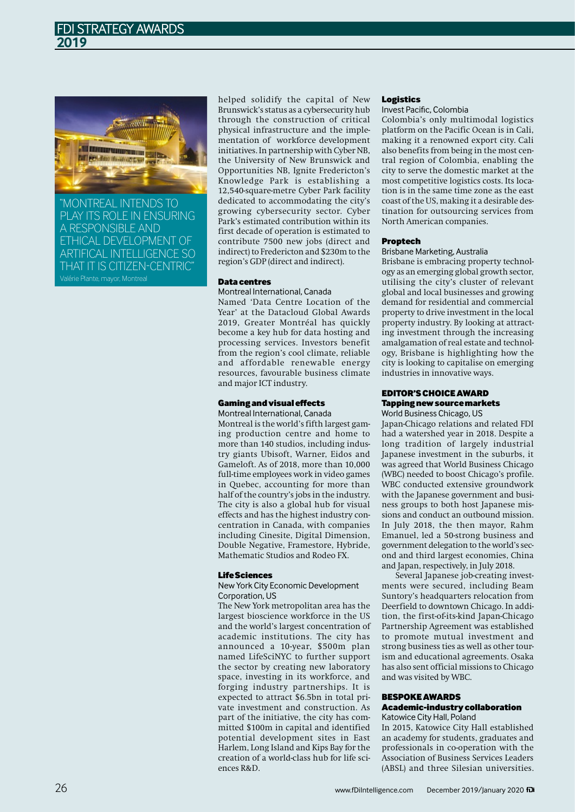

"MONTREAL INTENDS TO PLAY ITS ROLE IN ENSURING A RESPONSIBLE AND ETHICAL DEVELOPMENT OF ARTIFICAL INTELLIGENCE SO THAT IT IS CITIZEN-CENTRIC"

helped solidify the capital of New Brunswick'sstatus as a cybersecurity hub through the construction of critical physical infrastructure and the implementation of workforce development initiatives. In partnership with Cyber NB, the University of New Brunswick and Opportunities NB, Ignite Fredericton's Knowledge Park is establishing a 12,540-square-metre Cyber Park facility dedicated to accommodating the city's growing cybersecurity sector. Cyber Park's estimated contribution within its first decade of operation is estimated to contribute 7500 new jobs (direct and indirect) to Fredericton and \$230m to the region's GDP (direct and indirect).

## Datacentres

### Montreal International, Canada

Named 'Data Centre Location of the Year' at the Datacloud Global Awards 2019, Greater Montréal has quickly become a key hub for data hosting and processing services. Investors benefit from the region's cool climate, reliable and affordable renewable energy resources, favourable business climate and major ICT industry.

# Gaming and visual effects

Montreal International, Canada

Montreal is the world's fifth largest gaming production centre and home to more than 140 studios, including industry giants Ubisoft, Warner, Eidos and Gameloft. As of 2018, more than 10,000 full-time employees work in video games in Quebec, accounting for more than half of the country's jobs in the industry. The city is also a global hub for visual effects and has the highest industry concentration in Canada, with companies including Cinesite, Digital Dimension, Double Negative, Framestore, Hybride, Mathematic Studios and Rodeo FX.

### LifeSciences

NewYork City Economic Development Corporation, US

The New York metropolitan area has the largest bioscience workforce in the US and the world's largest concentration of academic institutions. The city has announced a 10-year, \$500m plan named LifeSciNYC to further support the sector by creating new laboratory space, investing in its workforce, and forging industry partnerships. It is expected to attract \$6.5bn in total private investment and construction. As part of the initiative, the city has committed \$100m in capital and identified potential development sites in East Harlem, Long Island and Kips Bay for the creation of a world-class hub for life sci $ence$  $RR<sub>r</sub>$  $D<sub>r</sub>$ 

### Logistics

# Invest Pacific, Colombia

Colombia's only multimodal logistics platform on the Pacific Ocean is in Cali, making it a renowned export city. Cali also benefits from being in the most central region of Colombia, enabling the city to serve the domestic market at the most competitive logistics costs. Its location is in the same time zone as the east coast oftheUS, making it a desirable destination for outsourcing services from North American companies.

### Proptech

# Brisbane Marketing, Australia

Brisbane is embracing property technology as an emerging global growth sector, utilising the city's cluster of relevant global and local businesses and growing demand for residential and commercial property to drive investment in the local property industry. By looking at attracting investment through the increasing amalgamation of real estate and technology, Brisbane is highlighting how the city is looking to capitalise on emerging industries in innovative ways.

### EDITOR'SCHOICEAWARD Tapping new source markets World Business Chicago, US

Japan-Chicago relations and related FDI had a watershed year in 2018. Despite a long tradition of largely industrial Japanese investment in the suburbs, it was agreed that World Business Chicago (WBC) needed to boost Chicago's profile. WBC conducted extensive groundwork with the Japanese government and business groups to both host Japanese missions and conduct an outbound mission. In July 2018, the then mayor, Rahm Emanuel, led a 50-strong business and government delegation to the world's second and third largest economies, China and Japan, respectively, in July 2018.

Several Japanese job-creating investments were secured, including Beam Suntory's headquarters relocation from Deerfield to downtown Chicago. In addition, the first-of-its-kind Japan-Chicago Partnership Agreement was established to promote mutual investment and strong business ties as well as other tourism and educational agreements. Osaka has also sent official missions to Chicago and was visited by WBC.

### BESPOKEAWARDS Academic-industrycollaboration Katowice City Hall, Poland

In 2015, Katowice City Hall established an academy for students, graduates and professionals in co-operation with the Association of Business Services Leaders (ABSL) and three Silesian universities.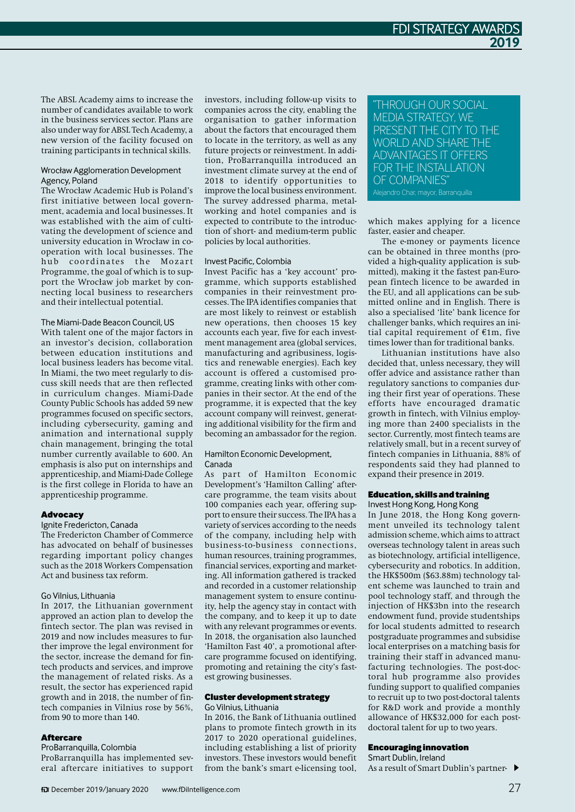The ABSL Academy aims to increase the number of candidates available to work in the business services sector. Plans are also under way for ABSL Tech Academy, a new version of the facility focused on training participants in technical skills.

# WrocławAgglomeration Development Agency, Poland

The Wrocław Academic Hub is Poland's first initiative between local government, academia and local businesses. It was established with the aim of cultivating the development of science and university education in Wrocław in cooperation with local businesses. The<br>hub coordinates the Mozart coordinates the Mozart Programme, the goal of which is to support the Wrocław job market by connecting local business to researchers and their intellectual potential.

# The Miami-Dade Beacon Council, US

With talent one of the major factors in an investor's decision, collaboration between education institutions and local business leaders has become vital. In Miami, the two meet regularly to discuss skill needs that are then reflected in curriculum changes. Miami-Dade County Public Schools has added 59 new programmes focused on specific sectors, including cybersecurity, gaming and animation and international supply chain management, bringing the total number currently available to 600. An emphasis is also put on internships and apprenticeship, and Miami-Dade College is the first college in Florida to have an apprenticeship programme.

## **Advocacy**

# Ignite Fredericton, Canada

The Fredericton Chamber of Commerce has advocated on behalf of businesses regarding important policy changes such as the 2018 Workers Compensation Act and business tax reform.

# Go Vilnius, Lithuania

In 2017, the Lithuanian government approved an action plan to develop the fintech sector. The plan was revised in 2019 and now includes measures to further improve the legal environment for the sector, increase the demand for fintech products and services, and improve the management of related risks. As a result, the sector has experienced rapid growth and in 2018, the number of fintech companies in Vilnius rose by 56%, from 90 to more than 140.

### **Aftercare**

ProBarranquilla, Colombia

ProBarranquilla has implemented several aftercare initiatives to support investors, including follow-up visits to companies across the city, enabling the organisation to gather information about the factors that encouraged them to locate in the territory, as well as any future projects or reinvestment. In addition, ProBarranquilla introduced an investment climate survey at the end of 2018 to identify opportunities to improve the local business environment. The survey addressed pharma, metalworking and hotel companies and is expected to contribute to the introduction of short- and medium-term public policies by local authorities.

### Invest Pacific, Colombia

Invest Pacific has a 'key account' programme, which supports established companies in their reinvestment processes. The IPA identifies companies that are most likely to reinvest or establish new operations, then chooses 15 key accounts each year, five for each investment management area (global services, manufacturing and agribusiness, logistics and renewable energies). Each key account is offered a customised programme, creating links with other companies in their sector. At the end of the programme, it is expected that the key account company will reinvest, generating additional visibility for the firm and becoming an ambassador for the region.

### Hamilton Economic Development, Canada

As part of Hamilton Economic Development's 'Hamilton Calling' aftercare programme, the team visits about 100 companies each year, offering support to ensure their success. The IPA has a variety of services according to the needs of the company, including help with business-to-business connections, human resources, training programmes, financial services, exporting and marketing. All information gathered is tracked and recorded in a customer relationship management system to ensure continuity, help the agency stay in contact with the company, and to keep it up to date with any relevant programmes or events. In 2018, the organisation also launched 'Hamilton Fast 40', a promotional aftercare programme focused on identifying, promoting and retaining the city's fastest growing businesses.

### **Cluster development strategy**

### Go Vilnius, Lithuania

In 2016, the Bank of Lithuania outlined plans to promote fintech growth in its 2017 to 2020 operational guidelines, including establishing a list of priority investors. These investors would benefit from the bank's smart e-licensing tool,

# "THROUGH OUR SOCIAL MEDIA STRATEGY, WE PRESENT THE CITY TO THE WORLD AND SHARE THE ADVANTAGES IT OFFERS FOR THE INSTALLATION OF COMPANIES"

which makes applying for a licence faster, easier and cheaper.

The e-money or payments licence can be obtained in three months (provided a high-quality application is submitted), making it the fastest pan-European fintech licence to be awarded in the EU, and all applications can be submitted online and in English. There is also a specialised 'lite' bank licence for challenger banks, which requires an initial capital requirement of €1m, five times lower than for traditional banks.

Lithuanian institutions have also decided that, unless necessary, they will offer advice and assistance rather than regulatory sanctions to companies during their first year of operations. These efforts have encouraged dramatic growth in fintech, with Vilnius employing more than 2400 specialists in the sector. Currently, most fintech teams are relatively small, but in a recent survey of fintech companies in Lithuania, 88% of respondents said they had planned to expand their presence in 2019.

### Education,skillsandtraining

Invest Hong Kong, Hong Kong

In June 2018, the Hong Kong government unveiled its technology talent admission scheme, which aims to attract overseas technology talent in areas such as biotechnology, artificial intelligence, cybersecurity and robotics. In addition, the HK\$500m (\$63.88m) technology talent scheme was launched to train and pool technology staff, and through the injection of HK\$3bn into the research endowment fund, provide studentships for local students admitted to research postgraduate programmes and subsidise local enterprises on a matching basis for training their staff in advanced manufacturing technologies. The post-doctoral hub programme also provides funding support to qualified companies to recruit up to two post-doctoral talents for R&D work and provide a monthly allowance of HK\$32,000 for each postdoctoral talent for up to two years.

# **Encouraging innovation**

Smart Dublin, Ireland As a result of Smart Dublin's partner-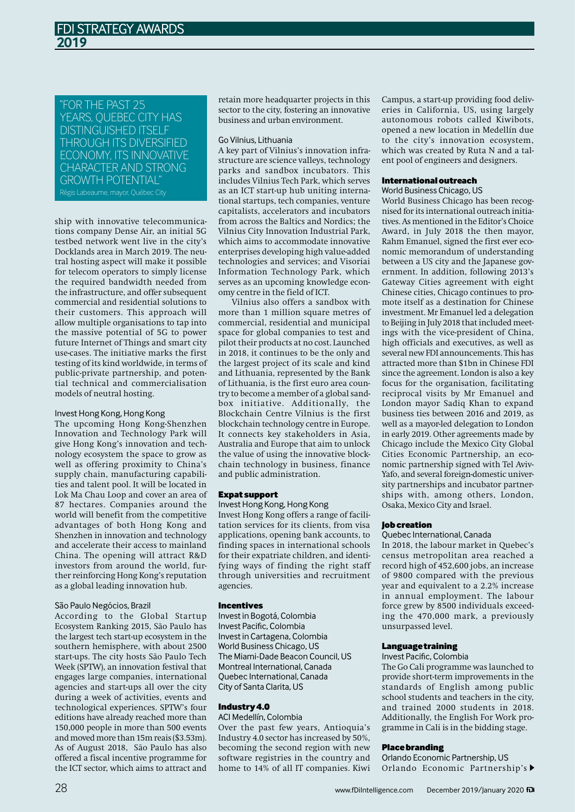# "FOR THE PAST 25 YEARS, QUEBEC CITY HAS DISTINGUISHED ITSELF THROUGH ITS DIVERSIFIED ECONOMY, ITS INNOVATIVE CHARACTER AND STRONG GROWTH POTENTIAL"

Régis Labeaume, mayor, Québec City

ship with innovative telecommunications company Dense Air, an initial 5G testbed network went live in the city's Docklands area in March 2019. The neutral hosting aspect will make it possible for telecom operators to simply license the required bandwidth needed from the infrastructure, and offer subsequent commercial and residential solutions to their customers. This approach will allow multiple organisations to tap into the massive potential of 5G to power future Internet of Things and smart city use-cases. The initiative marks the first testing of its kind worldwide, in terms of public-private partnership, and potential technical and commercialisation models of neutral hosting.

## Invest Hong Kong, Hong Kong

The upcoming Hong Kong-Shenzhen Innovation and Technology Park will give Hong Kong's innovation and technology ecosystem the space to grow as well as offering proximity to China's supply chain, manufacturing capabilities and talent pool. It will be located in Lok Ma Chau Loop and cover an area of 87 hectares. Companies around the world will benefit from the competitive advantages of both Hong Kong and Shenzhen in innovation and technology and accelerate their access to mainland China. The opening will attract R&D investors from around the world, further reinforcing Hong Kong's reputation as a global leading innovation hub.

## São Paulo Negócios, Brazil

According to the Global Startup Ecosystem Ranking 2015, São Paulo has the largest tech start-up ecosystem in the southern hemisphere, with about 2500 start-ups. The city hosts São Paulo Tech Week (SPTW), an innovation festival that engages large companies, international agencies and start-ups all over the city during a week of activities, events and technological experiences. SPTW's four editions have already reached more than 150,000 people in more than 500 events and moved more than 15m reais (\$3.53m). As of August 2018, São Paulo has also offered a fiscal incentive programme for the ICT sector, which aims to attract and

retain more headquarter projects in this sector to the city, fostering an innovative business and urban environment.

## Go Vilnius, Lithuania

A key part of Vilnius's innovation infrastructure are science valleys, technology parks and sandbox incubators. This includes Vilnius Tech Park, which serves as an ICT start-up hub uniting international startups, tech companies, venture capitalists, accelerators and incubators from across the Baltics and Nordics; the Vilnius City Innovation Industrial Park, which aims to accommodate innovative enterprises developing high value-added technologies and services; and Visoriai Information Technology Park, which serves as an upcoming knowledge economy centre in the field of ICT.

Vilnius also offers a sandbox with more than 1 million square metres of commercial, residential and municipal space for global companies to test and pilot their products at no cost. Launched in 2018, it continues to be the only and the largest project of its scale and kind and Lithuania, represented by the Bank of Lithuania, is the first euro area country to become a member of a global sandbox initiative. Additionally, the Blockchain Centre Vilnius is the first blockchain technology centre in Europe. It connects key stakeholders in Asia, Australia and Europe that aim to unlock the value of using the innovative blockchain technology in business, finance and public administration.

## Expatsupport

Invest Hong Kong, Hong Kong

Invest Hong Kong offers a range of facilitation services for its clients, from visa applications, opening bank accounts, to finding spaces in international schools for their expatriate children, and identifying ways of finding the right staff through universities and recruitment agencies.

# Incentives

Investin Bogotá, Colombia Invest Pacific, Colombia Investin Cartagena, Colombia World Business Chicago, US The Miami-Dade Beacon Council, US Montreal International, Canada Quebec International, Canada City of Santa Clarita, US

## Industry 4.0

ACI Medellín, Colombia Over the past few years, Antioquia's Industry 4.0 sector has increased by 50%, becoming the second region with new software registries in the country and

home to 14% of all IT companies. Kiwi

Campus, a start-up providing food deliveries in California, US, using largely autonomous robots called Kiwibots, opened a new location in Medellín due to the city's innovation ecosystem, which was created by Ruta N and a talent pool of engineers and designers.

## Internationaloutreach

### World Business Chicago, US

World Business Chicago has been recognised for its international outreach initiatives. As mentioned in the Editor's Choice Award, in July 2018 the then mayor, Rahm Emanuel, signed the first ever economic memorandum of understanding between a US city and the Japanese government. In addition, following 2013's Gateway Cities agreement with eight Chinese cities, Chicago continues to promote itself as a destination for Chinese investment. Mr Emanuel led a delegation to Beijing in July 2018 that included meetings with the vice-president of China, high officials and executives, as well as several new FDI announcements. This has attracted more than \$1bn in Chinese FDI since the agreement. London is also a key focus for the organisation, facilitating reciprocal visits by Mr Emanuel and London mayor Sadiq Khan to expand business ties between 2016 and 2019, as well as a mayor-led delegation to London in early 2019. Other agreements made by Chicago include the Mexico City Global Cities Economic Partnership, an economic partnership signed with Tel Aviv-Yafo, and several foreign-domestic university partnerships and incubator partnerships with, among others, London, Osaka, Mexico City and Israel.

## Jobcreation

### Quebec International, Canada

In 2018, the labour market in Quebec's census metropolitan area reached a record high of 452,600 jobs, an increase of 9800 compared with the previous year and equivalent to a 2.2% increase in annual employment. The labour force grew by 8500 individuals exceeding the 470,000 mark, a previously unsurpassed level.

## Languagetraining

### Invest Pacific, Colombia

The Go Cali programme was launched to provide short-term improvementsin the standards of English among public school students and teachers in the city, and trained 2000 students in 2018. Additionally, the English For Work programme in Cali is in the bidding stage.

## Placebranding

Orlando Economic Partnership, US Orlando Economic Partnership's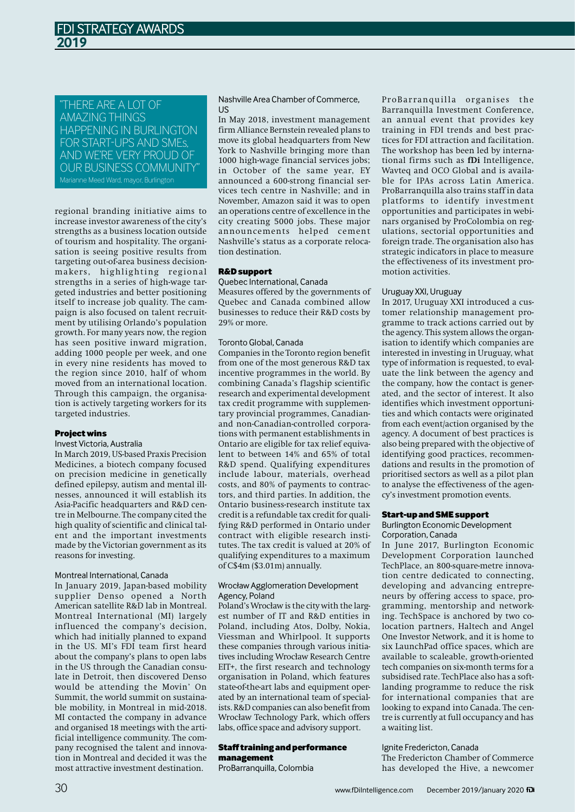"THERE ARE A LOT OF AMAZING THINGS HAPPENING IN BURLINGTON FOR START-UPS AND SMEs, AND WE'RE VERY PROUD OF OUR BUSINESS COMMUNITY" Marianne Meed Ward, mayor, Burlington

regional branding initiative aims to increase investor awareness of the city's strengths as a business location outside of tourism and hospitality. The organisation is seeing positive results from targeting out-of-area business decisionmakers, highlighting regional strengths in a series of high-wage targeted industries and better positioning itself to increase job quality. The campaign is also focused on talent recruitment by utilising Orlando's population growth. For many years now, the region has seen positive inward migration, adding 1000 people per week, and one in every nine residents has moved to the region since 2010, half of whom moved from an international location. Through this campaign, the organisation is actively targeting workers for its targeted industries.

### Projectwins

### Invest Victoria, Australia

In March 2019, US-based Praxis Precision Medicines, a biotech company focused on precision medicine in genetically defined epilepsy, autism and mental illnesses, announced it will establish its Asia-Pacific headquarters and R&D centre in Melbourne. The company cited the high quality of scientific and clinical talent and the important investments made by the Victorian government as its reasons for investing.

#### Montreal International, Canada

In January 2019, Japan-based mobility supplier Denso opened a North American satellite R&D lab in Montreal. Montreal International (MI) largely influenced the company's decision, which had initially planned to expand in the US. MI's FDI team first heard about the company's plans to open labs in the US through the Canadian consulate in Detroit, then discovered Denso would be attending the Movin' On Summit, the world summit on sustainable mobility, in Montreal in mid-2018. MI contacted the company in advance and organised 18 meetings with the artificial intelligence community. The company recognised the talent and innovation in Montreal and decided it was the most attractive investment destination.

### Nashville Area Chamber of Commerce, US

In May 2018, investment management firm Alliance Bernstein revealed plansto move its global headquarters from New York to Nashville bringing more than 1000 high-wage financial services jobs; in October of the same year, EY announced a 600-strong financial services tech centre in Nashville; and in November, Amazon said it was to open an operations centre of excellence in the city creating 5000 jobs. These major announcements helped cement Nashville's status as a corporate relocation destination.

#### R&Dsupport

### Quebec International, Canada

Measures offered by the governments of Quebec and Canada combined allow businesses to reduce their R&D costs by 29% or more.

### Toronto Global, Canada

Companies in the Toronto region benefit from one of the most generous R&D tax incentive programmes in the world. By combining Canada's flagship scientific research and experimental development tax credit programme with supplementary provincial programmes, Canadianand non-Canadian-controlled corporations with permanent establishments in Ontario are eligible for tax relief equivalent to between 14% and 65% of total R&D spend. Qualifying expenditures include labour, materials, overhead costs, and 80% of payments to contractors, and third parties. In addition, the Ontario business-research institute tax credit is a refundable tax credit for qualifying R&D performed in Ontario under contract with eligible research institutes. The tax credit is valued at 20% of qualifying expenditures to a maximum of C\$4m (\$3.01m) annually.

### WrocławAgglomeration Development Agency, Poland

Poland's Wrocław is the city with the largest number of IT and R&D entities in Poland, including Atos, Dolby, Nokia, Viessman and Whirlpool. It supports these companies through various initiatives including Wrocław Research Centre EIT+, the first research and technology organisation in Poland, which features state-of-the-art labs and equipment operated by an international team of specialists.  $R&D$  companies can also benefit from Wrocław Technology Park, which offers labs, office space and advisory support.

# Staff training and performance management

ProBarranquilla, Colombia

ProBarranquilla organises the Barranquilla Investment Conference, an annual event that provides key training in FDI trends and best practices for FDI attraction and facilitation. The workshop has been led by international firms such as **fDi** Intelligence, Wavteq and OCO Global and is available for IPAs across Latin America. ProBarranquilla also trains staff in data platforms to identify investment opportunities and participates in webinars organised by ProColombia on regulations, sectorial opportunities and foreign trade. The organisation also has strategic indicators in place to measure the effectiveness of its investment promotion activities.

### Uruguay XXI, Uruguay

In 2017, Uruguay XXI introduced a customer relationship management programme to track actions carried out by the agency. This system allows the organisation to identify which companies are interested in investing in Uruguay, what type of information is requested, to evaluate the link between the agency and the company, how the contact is generated, and the sector of interest. It also identifies which investment opportunities and which contacts were originated from each event/action organised by the agency. A document of best practices is also being prepared with the objective of identifying good practices, recommendations and results in the promotion of prioritised sectors as well as a pilot plan to analyse the effectiveness of the agency's investment promotion events.

### Start-upandSMEsupport

## Burlington Economic Development Corporation, Canada

In June 2017, Burlington Economic Development Corporation launched TechPlace, an 800-square-metre innovation centre dedicated to connecting, developing and advancing entrepreneurs by offering access to space, programming, mentorship and networking. TechSpace is anchored by two colocation partners, Haltech and Angel One Investor Network, and it is home to six LaunchPad office spaces, which are available to scaleable, growth-oriented tech companies on six-month terms for a subsidised rate. TechPlace also has a softlanding programme to reduce the risk for international companies that are looking to expand into Canada. The centre is currently at full occupancy and has a waiting list.

## Ignite Fredericton, Canada

The Fredericton Chamber of Commerce has developed the Hive, a newcomer